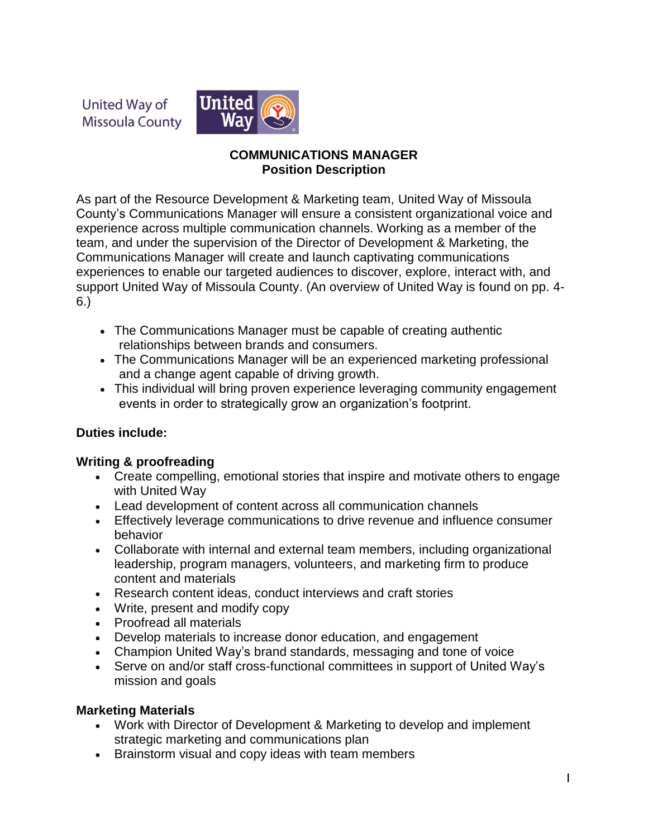United Way of **Missoula County** 



#### **COMMUNICATIONS MANAGER Position Description**

As part of the Resource Development & Marketing team, United Way of Missoula County's Communications Manager will ensure a consistent organizational voice and experience across multiple communication channels. Working as a member of the team, and under the supervision of the Director of Development & Marketing, the Communications Manager will create and launch captivating communications experiences to enable our targeted audiences to discover, explore, interact with, and support United Way of Missoula County. (An overview of United Way is found on pp. 4- 6.)

- The Communications Manager must be capable of creating authentic relationships between brands and consumers.
- The Communications Manager will be an experienced marketing professional and a change agent capable of driving growth.
- This individual will bring proven experience leveraging community engagement events in order to strategically grow an organization's footprint.

# **Duties include:**

# **Writing & proofreading**

- Create compelling, emotional stories that inspire and motivate others to engage with United Way
- Lead development of content across all communication channels
- Effectively leverage communications to drive revenue and influence consumer behavior
- Collaborate with internal and external team members, including organizational leadership, program managers, volunteers, and marketing firm to produce content and materials
- Research content ideas, conduct interviews and craft stories
- Write, present and modify copy
- Proofread all materials
- Develop materials to increase donor education, and engagement
- Champion United Way's brand standards, messaging and tone of voice
- Serve on and/or staff cross-functional committees in support of United Way's mission and goals

# **Marketing Materials**

- Work with Director of Development & Marketing to develop and implement strategic marketing and communications plan
- Brainstorm visual and copy ideas with team members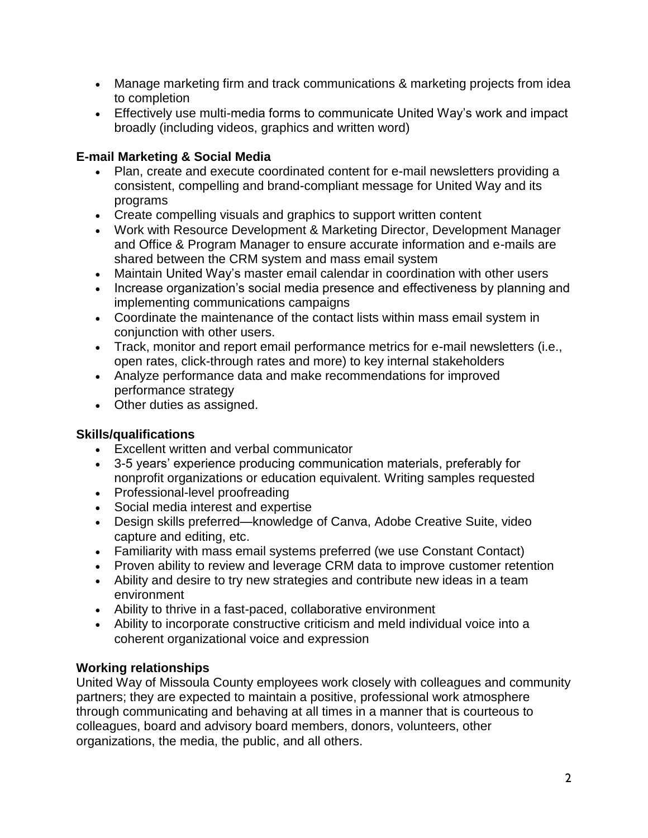- Manage marketing firm and track communications & marketing projects from idea to completion
- Effectively use multi-media forms to communicate United Way's work and impact broadly (including videos, graphics and written word)

# **E-mail Marketing & Social Media**

- Plan, create and execute coordinated content for e-mail newsletters providing a consistent, compelling and brand-compliant message for United Way and its programs
- Create compelling visuals and graphics to support written content
- Work with Resource Development & Marketing Director, Development Manager and Office & Program Manager to ensure accurate information and e-mails are shared between the CRM system and mass email system
- Maintain United Way's master email calendar in coordination with other users
- Increase organization's social media presence and effectiveness by planning and implementing communications campaigns
- Coordinate the maintenance of the contact lists within mass email system in conjunction with other users.
- Track, monitor and report email performance metrics for e-mail newsletters (i.e., open rates, click-through rates and more) to key internal stakeholders
- Analyze performance data and make recommendations for improved performance strategy
- Other duties as assigned.

# **Skills/qualifications**

- Excellent written and verbal communicator
- 3-5 years' experience producing communication materials, preferably for nonprofit organizations or education equivalent. Writing samples requested
- Professional-level proofreading
- Social media interest and expertise
- Design skills preferred—knowledge of Canva, Adobe Creative Suite, video capture and editing, etc.
- Familiarity with mass email systems preferred (we use Constant Contact)
- Proven ability to review and leverage CRM data to improve customer retention
- Ability and desire to try new strategies and contribute new ideas in a team environment
- Ability to thrive in a fast-paced, collaborative environment
- Ability to incorporate constructive criticism and meld individual voice into a coherent organizational voice and expression

# **Working relationships**

United Way of Missoula County employees work closely with colleagues and community partners; they are expected to maintain a positive, professional work atmosphere through communicating and behaving at all times in a manner that is courteous to colleagues, board and advisory board members, donors, volunteers, other organizations, the media, the public, and all others.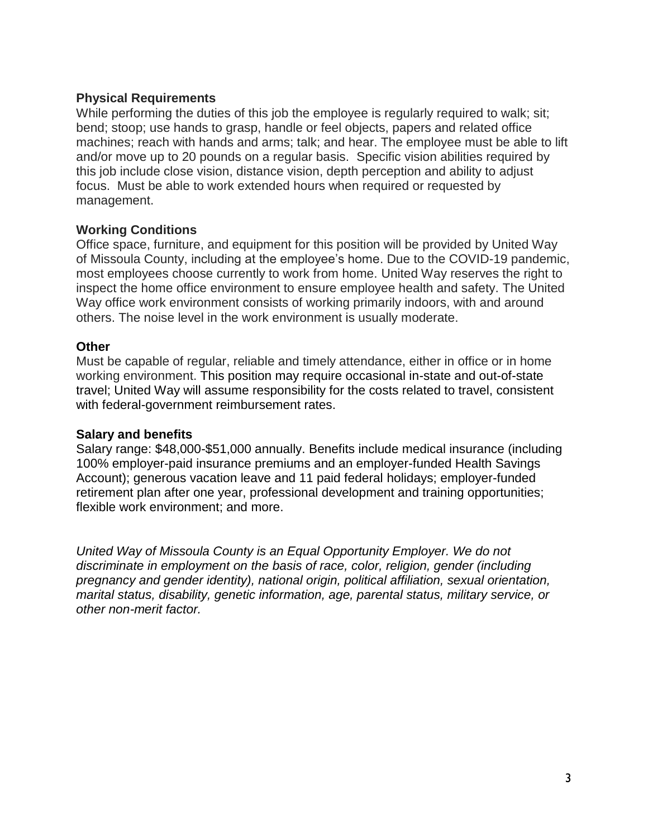#### **Physical Requirements**

While performing the duties of this job the employee is regularly required to walk; sit; bend; stoop; use hands to grasp, handle or feel objects, papers and related office machines; reach with hands and arms; talk; and hear. The employee must be able to lift and/or move up to 20 pounds on a regular basis. Specific vision abilities required by this job include close vision, distance vision, depth perception and ability to adjust focus. Must be able to work extended hours when required or requested by management.

#### **Working Conditions**

Office space, furniture, and equipment for this position will be provided by United Way of Missoula County, including at the employee's home. Due to the COVID-19 pandemic, most employees choose currently to work from home. United Way reserves the right to inspect the home office environment to ensure employee health and safety. The United Way office work environment consists of working primarily indoors, with and around others. The noise level in the work environment is usually moderate.

#### **Other**

Must be capable of regular, reliable and timely attendance, either in office or in home working environment. This position may require occasional in-state and out-of-state travel; United Way will assume responsibility for the costs related to travel, consistent with federal-government reimbursement rates.

#### **Salary and benefits**

Salary range: \$48,000-\$51,000 annually. Benefits include medical insurance (including 100% employer-paid insurance premiums and an employer-funded Health Savings Account); generous vacation leave and 11 paid federal holidays; employer-funded retirement plan after one year, professional development and training opportunities; flexible work environment; and more.

*United Way of Missoula County is an Equal Opportunity Employer. We do not discriminate in employment on the basis of race, color, religion, gender (including pregnancy and gender identity), national origin, political affiliation, sexual orientation, marital status, disability, genetic information, age, parental status, military service, or other non-merit factor.*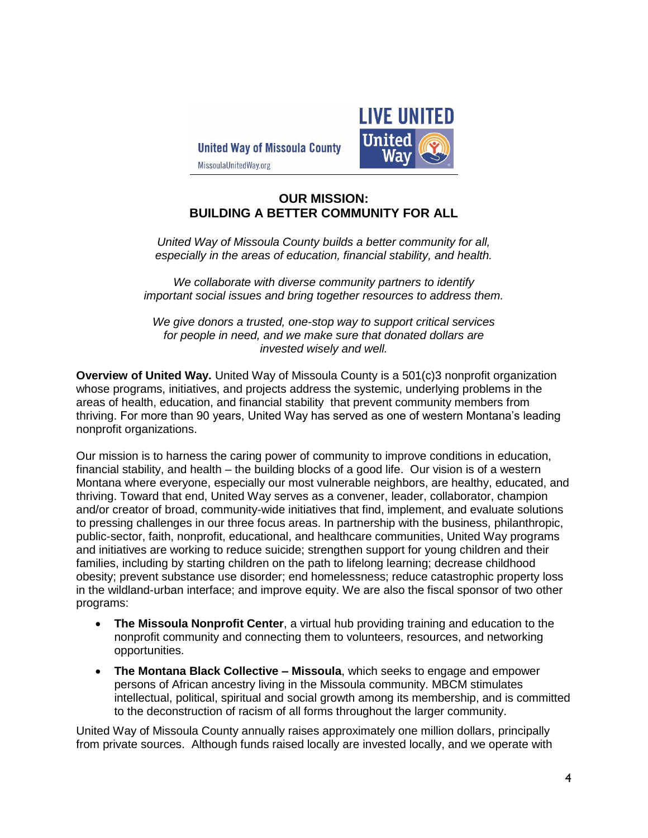**United Way of Missoula County** 



MissoulaUnitedWay.org

#### **OUR MISSION: BUILDING A BETTER COMMUNITY FOR ALL**

*United Way of Missoula County builds a better community for all, especially in the areas of education, financial stability, and health.*

*We collaborate with diverse community partners to identify important social issues and bring together resources to address them.*

*We give donors a trusted, one-stop way to support critical services for people in need, and we make sure that donated dollars are invested wisely and well.*

**Overview of United Way.** United Way of Missoula County is a 501(c)3 nonprofit organization whose programs, initiatives, and projects address the systemic, underlying problems in the areas of health, education, and financial stability that prevent community members from thriving. For more than 90 years, United Way has served as one of western Montana's leading nonprofit organizations.

Our mission is to harness the caring power of community to improve conditions in education, financial stability, and health – the building blocks of a good life. Our vision is of a western Montana where everyone, especially our most vulnerable neighbors, are healthy, educated, and thriving. Toward that end, United Way serves as a convener, leader, collaborator, champion and/or creator of broad, community-wide initiatives that find, implement, and evaluate solutions to pressing challenges in our three focus areas. In partnership with the business, philanthropic, public-sector, faith, nonprofit, educational, and healthcare communities, United Way programs and initiatives are working to reduce suicide; strengthen support for young children and their families, including by starting children on the path to lifelong learning; decrease childhood obesity; prevent substance use disorder; end homelessness; reduce catastrophic property loss in the wildland-urban interface; and improve equity. We are also the fiscal sponsor of two other programs:

- **The Missoula Nonprofit Center**, a virtual hub providing training and education to the nonprofit community and connecting them to volunteers, resources, and networking opportunities.
- **The Montana Black Collective – Missoula**, which seeks to engage and empower persons of African ancestry living in the Missoula community. MBCM stimulates intellectual, political, spiritual and social growth among its membership, and is committed to the deconstruction of racism of all forms throughout the larger community.

United Way of Missoula County annually raises approximately one million dollars, principally from private sources. Although funds raised locally are invested locally, and we operate with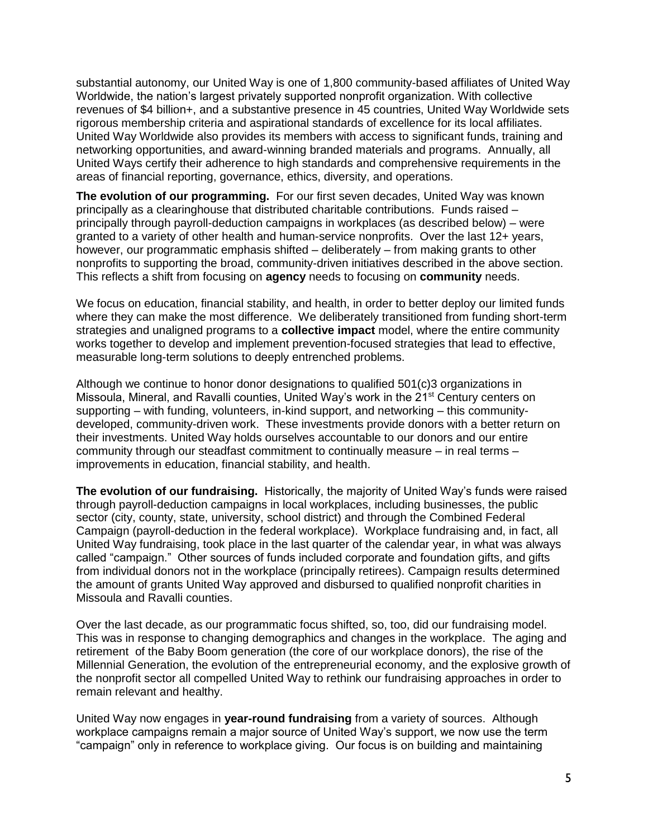substantial autonomy, our United Way is one of 1,800 community-based affiliates of United Way Worldwide, the nation's largest privately supported nonprofit organization. With collective revenues of \$4 billion+, and a substantive presence in 45 countries, United Way Worldwide sets rigorous membership criteria and aspirational standards of excellence for its local affiliates. United Way Worldwide also provides its members with access to significant funds, training and networking opportunities, and award-winning branded materials and programs. Annually, all United Ways certify their adherence to high standards and comprehensive requirements in the areas of financial reporting, governance, ethics, diversity, and operations.

**The evolution of our programming.** For our first seven decades, United Way was known principally as a clearinghouse that distributed charitable contributions. Funds raised – principally through payroll-deduction campaigns in workplaces (as described below) – were granted to a variety of other health and human-service nonprofits. Over the last 12+ years, however, our programmatic emphasis shifted – deliberately – from making grants to other nonprofits to supporting the broad, community-driven initiatives described in the above section. This reflects a shift from focusing on **agency** needs to focusing on **community** needs.

We focus on education, financial stability, and health, in order to better deploy our limited funds where they can make the most difference. We deliberately transitioned from funding short-term strategies and unaligned programs to a **collective impact** model, where the entire community works together to develop and implement prevention-focused strategies that lead to effective, measurable long-term solutions to deeply entrenched problems.

Although we continue to honor donor designations to qualified 501(c)3 organizations in Missoula, Mineral, and Ravalli counties, United Way's work in the 21<sup>st</sup> Century centers on supporting – with funding, volunteers, in-kind support, and networking – this communitydeveloped, community-driven work. These investments provide donors with a better return on their investments. United Way holds ourselves accountable to our donors and our entire community through our steadfast commitment to continually measure – in real terms – improvements in education, financial stability, and health.

**The evolution of our fundraising.** Historically, the majority of United Way's funds were raised through payroll-deduction campaigns in local workplaces, including businesses, the public sector (city, county, state, university, school district) and through the Combined Federal Campaign (payroll-deduction in the federal workplace). Workplace fundraising and, in fact, all United Way fundraising, took place in the last quarter of the calendar year, in what was always called "campaign." Other sources of funds included corporate and foundation gifts, and gifts from individual donors not in the workplace (principally retirees). Campaign results determined the amount of grants United Way approved and disbursed to qualified nonprofit charities in Missoula and Ravalli counties.

Over the last decade, as our programmatic focus shifted, so, too, did our fundraising model. This was in response to changing demographics and changes in the workplace. The aging and retirement of the Baby Boom generation (the core of our workplace donors), the rise of the Millennial Generation, the evolution of the entrepreneurial economy, and the explosive growth of the nonprofit sector all compelled United Way to rethink our fundraising approaches in order to remain relevant and healthy.

United Way now engages in **year-round fundraising** from a variety of sources. Although workplace campaigns remain a major source of United Way's support, we now use the term "campaign" only in reference to workplace giving. Our focus is on building and maintaining